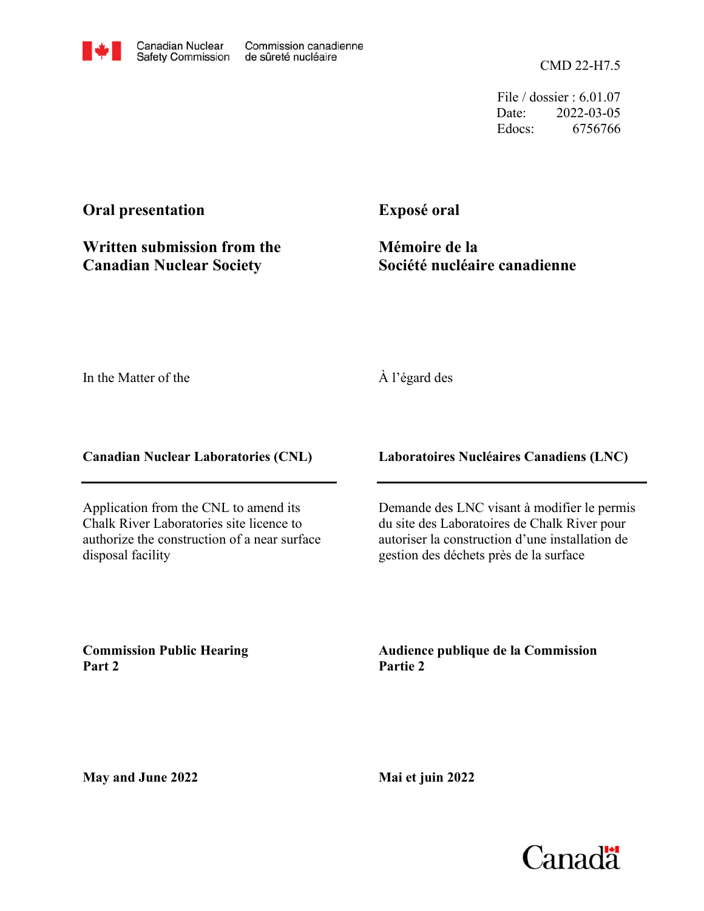CMD 22-H7.5

File / dossier : 6.01.07 Date: 2022-03-05 Edocs: 6756766

# **Oral presentation**

**Written submission from the Canadian Nuclear Society**

**Exposé oral**

**Mémoire de la Société nucléaire canadienne**

In the Matter of the

## À l'égard des

**Canadian Nuclear Laboratories (CNL)**

Application from the CNL to amend its Chalk River Laboratories site licence to authorize the construction of a near surface disposal facility

**Laboratoires Nucléaires Canadiens (LNC)**

Demande des LNC visant à modifier le permis du site des Laboratoires de Chalk River pour autoriser la construction d'une installation de gestion des déchets près de la surface

**Commission Public Hearing Part 2**

**Audience publique de la Commission Partie 2**

**May and June 2022**

**Mai et juin 2022**

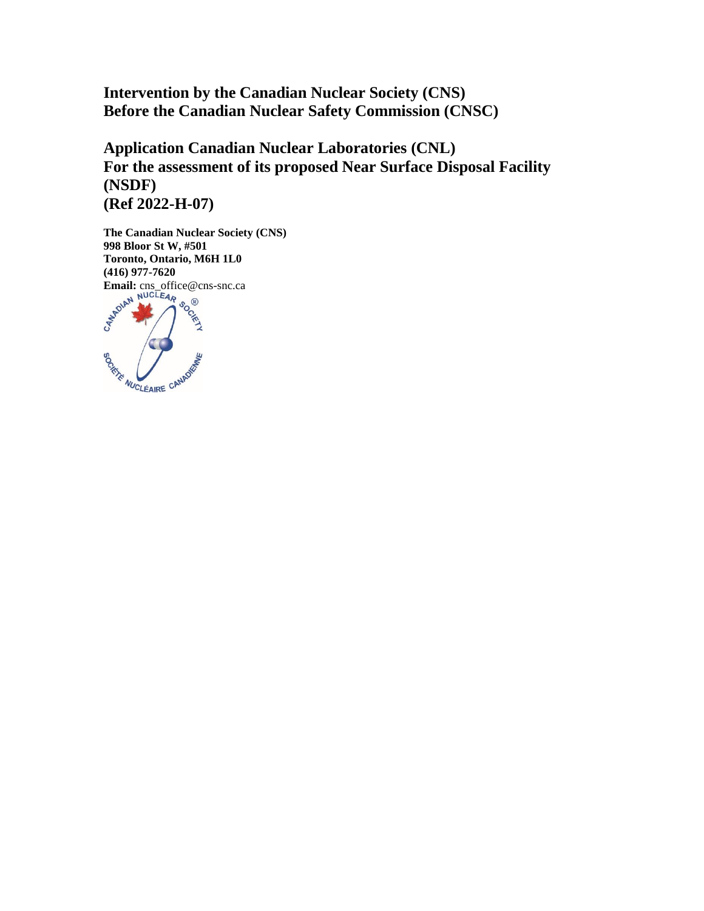**Intervention by the Canadian Nuclear Society (CNS) Before the Canadian Nuclear Safety Commission (CNSC)**

**Application Canadian Nuclear Laboratories (CNL) For the assessment of its proposed Near Surface Disposal Facility (NSDF) (Ref 2022-H-07)**

**The Canadian Nuclear Society (CNS) 998 Bloor St W, #501 Toronto, Ontario, M6H 1L0 (416) 977-7620 Email:** cns\_office@cns-snc.ca **BORTHE AUCLEAIRE CANAD**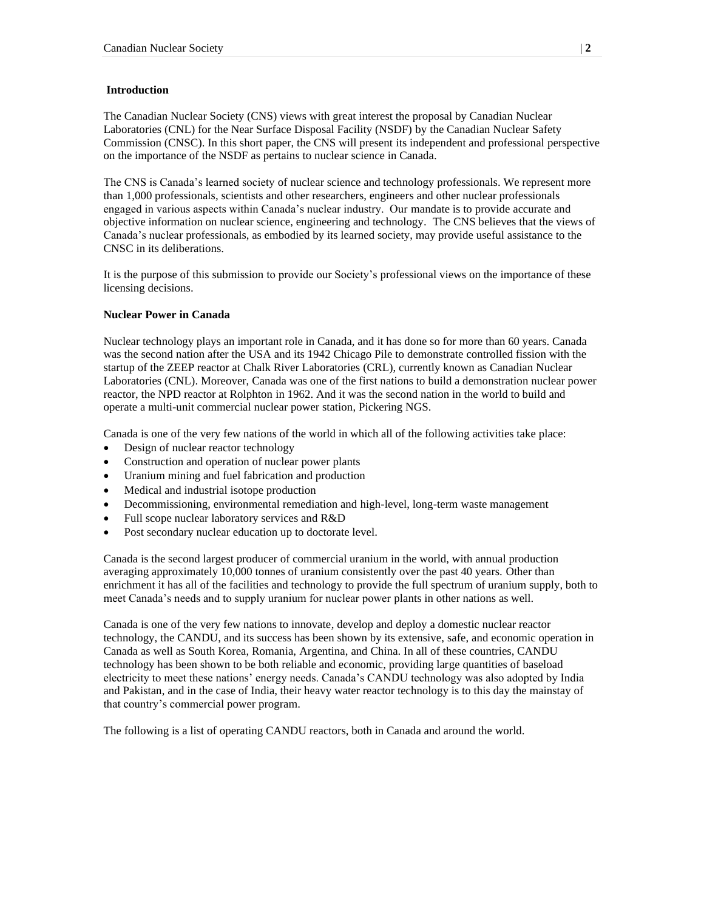#### **Introduction**

The Canadian Nuclear Society (CNS) views with great interest the proposal by Canadian Nuclear Laboratories (CNL) for the Near Surface Disposal Facility (NSDF) by the Canadian Nuclear Safety Commission (CNSC). In this short paper, the CNS will present its independent and professional perspective on the importance of the NSDF as pertains to nuclear science in Canada.

The CNS is Canada's learned society of nuclear science and technology professionals. We represent more than 1,000 professionals, scientists and other researchers, engineers and other nuclear professionals engaged in various aspects within Canada's nuclear industry. Our mandate is to provide accurate and objective information on nuclear science, engineering and technology. The CNS believes that the views of Canada's nuclear professionals, as embodied by its learned society, may provide useful assistance to the CNSC in its deliberations.

It is the purpose of this submission to provide our Society's professional views on the importance of these licensing decisions.

#### **Nuclear Power in Canada**

Nuclear technology plays an important role in Canada, and it has done so for more than 60 years. Canada was the second nation after the USA and its 1942 Chicago Pile to demonstrate controlled fission with the startup of the ZEEP reactor at Chalk River Laboratories (CRL), currently known as Canadian Nuclear Laboratories (CNL). Moreover, Canada was one of the first nations to build a demonstration nuclear power reactor, the NPD reactor at Rolphton in 1962. And it was the second nation in the world to build and operate a multi-unit commercial nuclear power station, Pickering NGS.

Canada is one of the very few nations of the world in which all of the following activities take place:

- Design of nuclear reactor technology
- Construction and operation of nuclear power plants
- Uranium mining and fuel fabrication and production
- Medical and industrial isotope production
- Decommissioning, environmental remediation and high-level, long-term waste management
- Full scope nuclear laboratory services and R&D
- Post secondary nuclear education up to doctorate level.

Canada is the second largest producer of commercial uranium in the world, with annual production averaging approximately 10,000 tonnes of uranium consistently over the past 40 years. Other than enrichment it has all of the facilities and technology to provide the full spectrum of uranium supply, both to meet Canada's needs and to supply uranium for nuclear power plants in other nations as well.

Canada is one of the very few nations to innovate, develop and deploy a domestic nuclear reactor technology, the CANDU, and its success has been shown by its extensive, safe, and economic operation in Canada as well as South Korea, Romania, Argentina, and China. In all of these countries, CANDU technology has been shown to be both reliable and economic, providing large quantities of baseload electricity to meet these nations' energy needs. Canada's CANDU technology was also adopted by India and Pakistan, and in the case of India, their heavy water reactor technology is to this day the mainstay of that country's commercial power program.

The following is a list of operating CANDU reactors, both in Canada and around the world.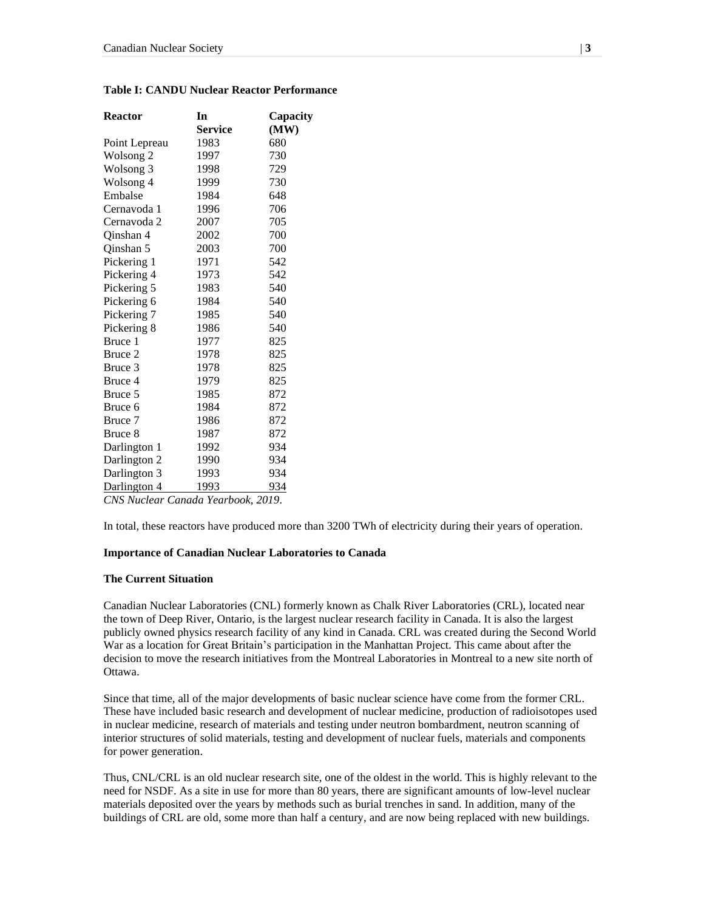| <b>Reactor</b>              | In<br><b>Service</b> | Capacity<br>(MW) |
|-----------------------------|----------------------|------------------|
| Point Lepreau               | 1983                 | 680              |
| Wolsong <sub>2</sub>        | 1997                 | 730              |
| Wolsong <sub>3</sub>        | 1998                 | 729              |
| Wolsong 4                   | 1999                 | 730              |
| Embalse                     | 1984                 | 648              |
| Cernavoda 1                 | 1996                 | 706              |
| Cernavoda 2                 | 2007                 | 705              |
| Oinshan 4                   | 2002                 | 700              |
| Qinshan 5                   | 2003                 | 700              |
| Pickering 1                 | 1971                 | 542              |
| Pickering 4                 | 1973                 | 542              |
| Pickering 5                 | 1983                 | 540              |
| Pickering 6                 | 1984                 | 540              |
| Pickering 7                 | 1985                 | 540              |
| Pickering 8                 | 1986                 | 540              |
| Bruce 1                     | 1977                 | 825              |
| Bruce 2                     | 1978                 | 825              |
| Bruce 3                     | 1978                 | 825              |
| Bruce 4                     | 1979                 | 825              |
| Bruce 5                     | 1985                 | 872              |
| Bruce 6                     | 1984                 | 872              |
| Bruce 7                     | 1986                 | 872              |
| Bruce 8                     | 1987                 | 872              |
| Darlington 1                | 1992                 | 934              |
| Darlington 2                | 1990                 | 934              |
| Darlington 3                | 1993                 | 934              |
| Darlington 4                | 1993                 | 934              |
| CNS Nuclear Canada Vearbook |                      | 2010.            |

#### **Table I: CANDU Nuclear Reactor Performance**

*CNS Nuclear Canada Yearbook, 2019.*

In total, these reactors have produced more than 3200 TWh of electricity during their years of operation.

#### **Importance of Canadian Nuclear Laboratories to Canada**

#### **The Current Situation**

Canadian Nuclear Laboratories (CNL) formerly known as Chalk River Laboratories (CRL), located near the town of Deep River, Ontario, is the largest nuclear research facility in Canada. It is also the largest publicly owned physics research facility of any kind in Canada. CRL was created during the Second World War as a location for Great Britain's participation in the Manhattan Project. This came about after the decision to move the research initiatives from the Montreal Laboratories in Montreal to a new site north of Ottawa.

Since that time, all of the major developments of basic nuclear science have come from the former CRL. These have included basic research and development of nuclear medicine, production of radioisotopes used in nuclear medicine, research of materials and testing under neutron bombardment, neutron scanning of interior structures of solid materials, testing and development of nuclear fuels, materials and components for power generation.

Thus, CNL/CRL is an old nuclear research site, one of the oldest in the world. This is highly relevant to the need for NSDF. As a site in use for more than 80 years, there are significant amounts of low-level nuclear materials deposited over the years by methods such as burial trenches in sand. In addition, many of the buildings of CRL are old, some more than half a century, and are now being replaced with new buildings.